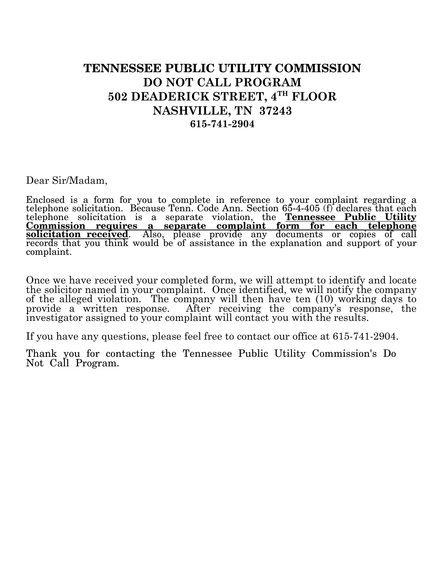## **TENNESSEE PUBLIC UTILITY COMMISSION DO NOT CALL PROGRAM 502 DEADERICK STREET, 4TH FLOOR NASHVILLE, TN 37243 615-741-2904**

Dear Sir/Madam,

Enclosed is a form for you to complete in reference to your complaint regarding a telephone solicitation. Because Tenn. Code Ann. Section 65-4-405 (f) declares that each telephone solicitation is a separate violation, the **Tennessee Public Utility Commission requires a separate complaint form for each telephone solicitation received**. Also, please provide any documents or copies of call records that you think would be of assistance in the explanation and support of your complaint.

Once we have received your completed form, we will attempt to identify and locate the solicitor named in your complaint. Once identified, we will notify the company of the alleged violation. The company will then have ten (10) working days to provide a written response. After receiving the company's response, the investigator assigned to your complaint will contact you with the results.

If you have any questions, please feel free to contact our office at 615-741-2904.

Thank you for contacting the Tennessee Public Utility Commission's Do Not Call Program.